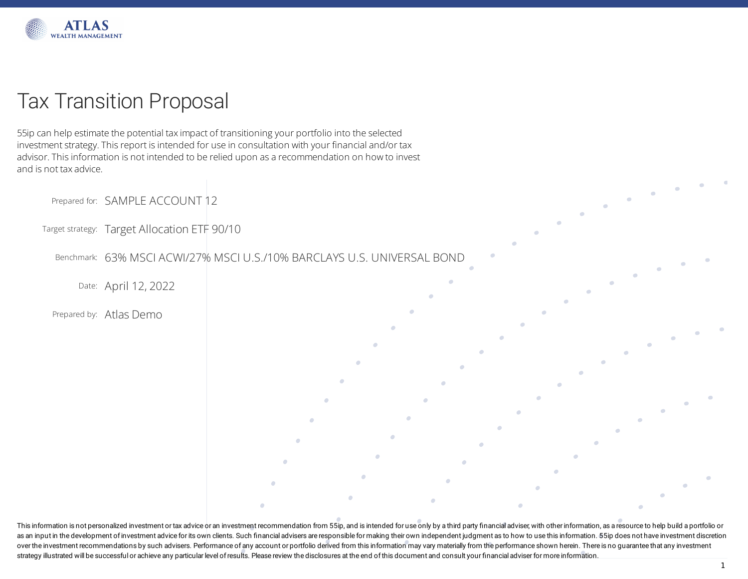

# Tax Transition Proposal

55ip can help estimate the potential tax impact of transitioning your portfolio into the selected investment strategy. This report is intended for use in consultation with your financial and/or tax advisor. This information is not intended to be relied upon as a recommendation on how to invest and is not tax advice.

Prepared for: SAMPLE ACCOUNT 12

Target strategy: Target Allocation ETF 90/10

Benchmark: 63% MSCI ACWI/27% MSCI U.S./10% BARCLAYS U.S. UNIVERSAL BOND

Date: April 12, 2022

Prepared by: Atlas Demo

This information is not personalized investment or tax advice or an investment recommendation from 55ip, and is intended for use only by a third party financial adviser, with other information, as a resource to help build as an input in the development of investment advice for its own clients. Such financial advisers are responsible for making their own independent judgment as to how to use this information. 55ip does not have investment di overthe investment recommendations by such advisers. Performance of any account or portfolio derived from this information may vary materially from the performance shown herein. There is no guarantee that any investment strategy illustrated will be successful or achieve any particular level of results. Please review the disclosures at the end of this document and consult your financial adviser for more information.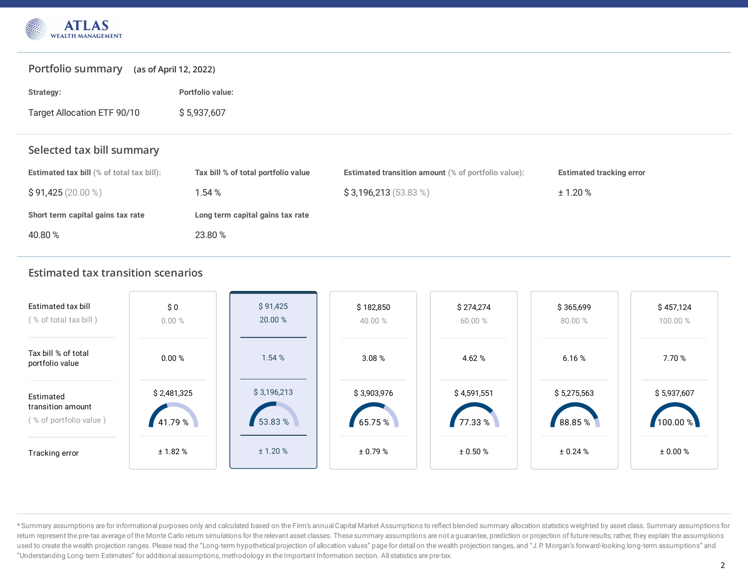

## **Portfolio summary (as of April 12, 2022)**

| Strategy: | <b>Portfolio value:</b> |
|-----------|-------------------------|
|-----------|-------------------------|

Target Allocation ETF 90/10 \$ 5,937,607

# **Selected tax bill summary**

| <b>Estimated tax bill</b> (% of total tax bill): | Tax bill % of total portfolio value | <b>Estimated transition amount (% of portfolio value):</b> | <b>Estimated tracking error</b> |
|--------------------------------------------------|-------------------------------------|------------------------------------------------------------|---------------------------------|
| $$91,425(20.00\%)$                               | 1.54 %                              | \$3,196,213(53.83%)                                        | ± 1.20%                         |
| Short term capital gains tax rate                | Long term capital gains tax rate    |                                                            |                                 |
| 40.80 %                                          | 23.80 %                             |                                                            |                                 |

# **Estimated tax transition scenarios**

| Estimated tax bill<br>(% of total tax bill) | \$0<br>0.00% | \$91,425<br>20.00 % | \$182,850<br>40.00 % | \$274,274<br>60.00 % | \$365,699<br>80.00 % | \$457,124<br>100.00 % |
|---------------------------------------------|--------------|---------------------|----------------------|----------------------|----------------------|-----------------------|
| Tax bill % of total<br>portfolio value      | 0.00 %       | 1.54%               | 3.08%                | 4.62 $%$             | 6.16%                | 7.70 %                |
| Estimated<br>transition amount              | \$2,481,325  | \$3,196,213         | \$3,903,976          | \$4,591,551          | \$5,275,563          | \$5,937,607           |
| (% of portfolio value)                      | 41.79%       | 53.83 %             | 65.75%               | 77.33 %              | 88.85 %              | 100.00 %              |
| Tracking error                              | ± 1.82%      | ± 1.20%             | ± 0.79 %             | ± 0.50 %             | ± 0.24 %             | ± 0.00 %              |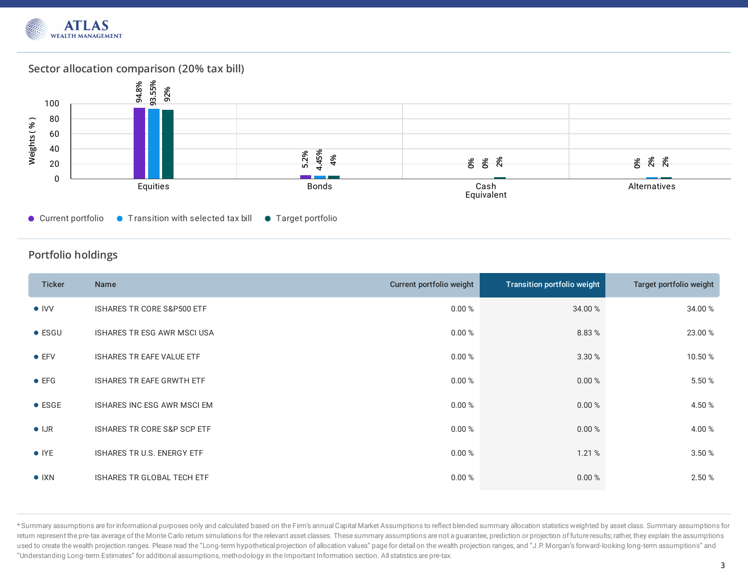

**Sector allocation comparison (20% tax bill)**



# **Portfolio holdings**

| <b>Ticker</b>  | <b>Name</b>                            | Current portfolio weight | <b>Transition portfolio weight</b> | Target portfolio weight |
|----------------|----------------------------------------|--------------------------|------------------------------------|-------------------------|
| $\bullet$ IVV  | ISHARES TR CORE S&P500 ETF             | 0.00%                    | 34.00 %                            | 34.00 %                 |
| $\bullet$ ESGU | <b>ISHARES TR ESG AWR MSCI USA</b>     | 0.00%                    | 8.83%                              | 23.00 %                 |
| $\bullet$ EFV  | ISHARES TR EAFE VALUE ETF              | 0.00%                    | 3.30 %                             | 10.50 %                 |
| $\bullet$ EFG  | ISHARES TR EAFE GRWTH ETF              | 0.00%                    | 0.00 %                             | 5.50 %                  |
| $\bullet$ ESGE | ISHARES INC ESG AWR MSCI EM            | 0.00%                    | 0.00 %                             | 4.50 %                  |
| $\bullet$ IJR  | <b>ISHARES TR CORE S&amp;P SCP ETF</b> | 0.00%                    | 0.00%                              | 4.00 %                  |
| $\bullet$ IYE  | <b>ISHARES TR U.S. ENERGY ETF</b>      | 0.00%                    | 1.21%                              | 3.50%                   |
| $\bullet$ IXN  | <b>ISHARES TR GLOBAL TECH ETF</b>      | 0.00%                    | 0.00%                              | 2.50%                   |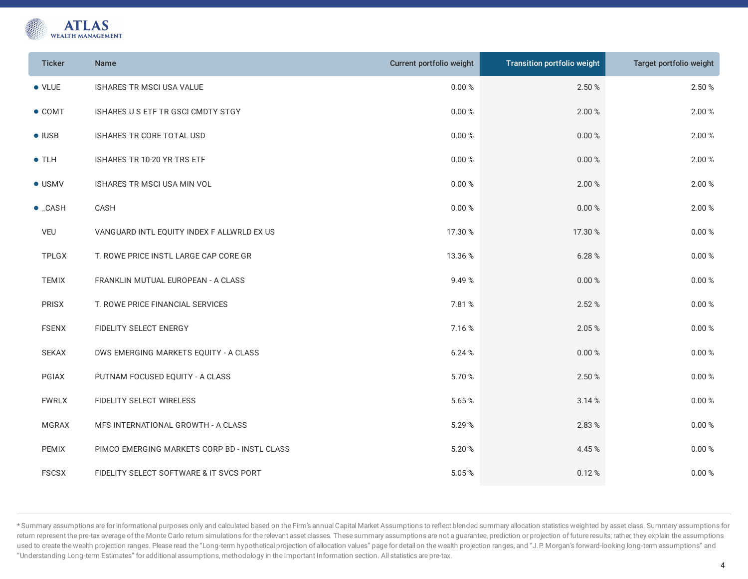

| <b>Ticker</b>   | Name                                         | Current portfolio weight | <b>Transition portfolio weight</b> | Target portfolio weight |
|-----------------|----------------------------------------------|--------------------------|------------------------------------|-------------------------|
| $\bullet$ VLUE  | ISHARES TR MSCI USA VALUE                    | 0.00%                    | 2.50 %                             | 2.50 %                  |
| $\bullet$ COMT  | ISHARES US ETF TR GSCI CMDTY STGY            | 0.00%                    | 2.00 %                             | 2.00 %                  |
| $\bullet$ IUSB  | ISHARES TR CORE TOTAL USD                    | 0.00%                    | $0.00\,\%$                         | 2.00 %                  |
| $\bullet$ TLH   | ISHARES TR 10-20 YR TRS ETF                  | 0.00%                    | 0.00%                              | 2.00 %                  |
| • USMV          | <b>ISHARES TR MSCI USA MIN VOL</b>           | 0.00%                    | 2.00 %                             | 2.00 %                  |
| $\bullet$ _CASH | CASH                                         | 0.00%                    | 0.00%                              | 2.00 %                  |
| <b>VEU</b>      | VANGUARD INTL EQUITY INDEX F ALLWRLD EX US   | 17.30 %                  | 17.30 %                            | $0.00\,\%$              |
| <b>TPLGX</b>    | T. ROWE PRICE INSTL LARGE CAP CORE GR        | 13.36 %                  | 6.28%                              | $0.00\,\%$              |
| <b>TEMIX</b>    | FRANKLIN MUTUAL EUROPEAN - A CLASS           | 9.49%                    | $0.00\,\%$                         | $0.00\,\%$              |
| <b>PRISX</b>    | T. ROWE PRICE FINANCIAL SERVICES             | 7.81%                    | 2.52 %                             | $0.00\,\%$              |
| <b>FSENX</b>    | FIDELITY SELECT ENERGY                       | 7.16 %                   | 2.05%                              | $0.00\,\%$              |
| <b>SEKAX</b>    | DWS EMERGING MARKETS EQUITY - A CLASS        | 6.24 %                   | 0.00%                              | 0.00 %                  |
| PGIAX           | PUTNAM FOCUSED EQUITY - A CLASS              | 5.70 %                   | 2.50 %                             | $0.00\,\%$              |
| <b>FWRLX</b>    | FIDELITY SELECT WIRELESS                     | 5.65%                    | 3.14%                              | $0.00\,\%$              |
| MGRAX           | MFS INTERNATIONAL GROWTH - A CLASS           | 5.29 %                   | 2.83 %                             | $0.00\,\%$              |
| <b>PEMIX</b>    | PIMCO EMERGING MARKETS CORP BD - INSTL CLASS | 5.20 %                   | 4.45 %                             | $0.00\,\%$              |
| <b>FSCSX</b>    | FIDELITY SELECT SOFTWARE & IT SVCS PORT      | 5.05%                    | 0.12%                              | $0.00\,\%$              |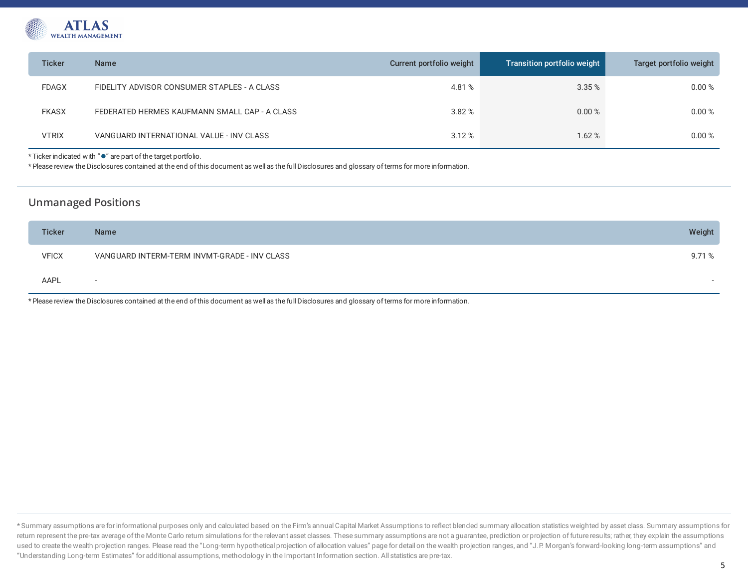

| <b>Ticker</b> | <b>Name</b>                                   | Current portfolio weight | Transition portfolio weight | Target portfolio weight |
|---------------|-----------------------------------------------|--------------------------|-----------------------------|-------------------------|
| <b>FDAGX</b>  | FIDELITY ADVISOR CONSUMER STAPLES - A CLASS   | 4.81 %                   | 3.35%                       | 0.00%                   |
| <b>FKASX</b>  | FEDERATED HERMES KAUFMANN SMALL CAP - A CLASS | 3.82%                    | 0.00%                       | 0.00 %                  |
| <b>VTRIX</b>  | VANGUARD INTERNATIONAL VALUE - INV CLASS      | 3.12%                    | 1.62%                       | 0.00%                   |

\* Ticker indicated with " $\bullet$ " are part of the target portfolio.

\* Please review the Disclosures contained at the end ofthis document as well as the full Disclosures and glossary ofterms for more information.

# **Unmanaged Positions**

| <b>Ticker</b> | <b>Name</b>                                  | Weight |
|---------------|----------------------------------------------|--------|
| <b>VFICX</b>  | VANGUARD INTERM-TERM INVMT-GRADE - INV CLASS | 9.71%  |
| AAPL          | $\sim$                                       | $-$    |

\* Please review the Disclosures contained at the end ofthis document as well as the full Disclosures and glossary ofterms for more information.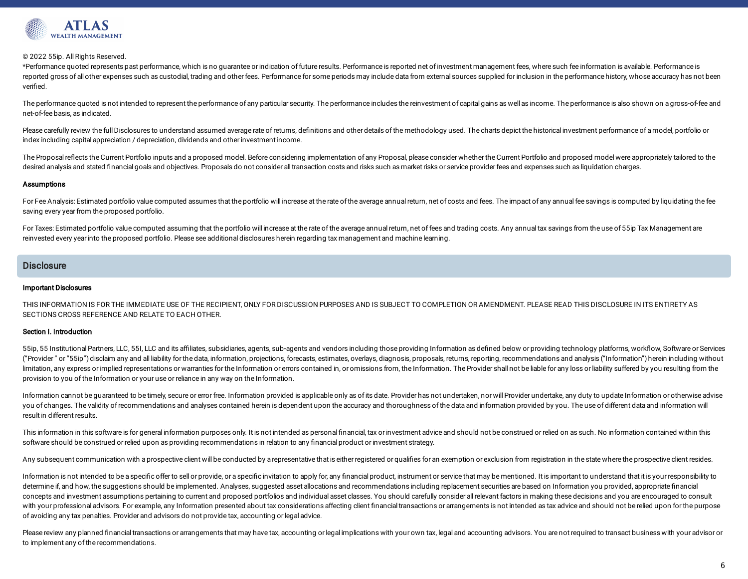

#### © 2022 55ip. All Rights Reserved.

\*Performance quoted represents past performance, which is no guarantee orindication offuture results. Performance is reported net ofinvestment management fees, where such fee information is available. Performance is reported gross of all other expenses such as custodial, trading and other fees. Performance for some periods may include data from external sources supplied for inclusion in the performance history, whose accuracy has not verified.

The performance quoted is not intended to represent the performance of any particular security. The performance includes the reinvestment of capital gains as well as income. The performance is also shown on a gross-of-fee net-of-fee basis, as indicated.

Please carefully review the full Disclosures to understand assumed average rate of returns, definitions and other details of the methodology used. The charts depict the historical investment performance of a model, portfol index including capital appreciation / depreciation, dividends and otherinvestment income.

The Proposal reflects the Current Portfolio inputs and a proposed model. Before considering implementation of any Proposal, please consider whether the Current Portfolio and proposed model were appropriately tailored to th desired analysis and stated financial goals and objectives. Proposals do not consider all transaction costs and risks such as market risks or service provider fees and expenses such as liquidation charges.

#### Assumptions

For Fee Analysis: Estimated portfolio value computed assumes that the portfolio will increase at the rate of the average annual return, net of costs and fees. The impact of any annual fee savings is computed by liquidating saving every year from the proposed portfolio.

For Taxes: Estimated portfolio value computed assuming that the portfolio will increase at the rate ofthe average annualreturn, net offees and trading costs. Any annualtax savings from the use of 55ip Tax Management are reinvested every yearinto the proposed portfolio. Please see additional disclosures herein regarding tax management and machine learning.

## **Disclosure**

#### Important Disclosures

THIS INFORMATION IS FOR THE IMMEDIATE USE OF THE RECIPIENT, ONLY FOR DISCUSSION PURPOSES AND IS SUBJECT TO COMPLETION OR AMENDMENT. PLEASE READ THIS DISCLOSURE IN ITS ENTIRETY AS SECTIONS CROSS REFERENCE AND RELATE TO EACH OTHER.

#### Section I. Introduction

55ip, 55 Institutional Partners, LLC, 55I, LLC and its affiliates, subsidiaries, agents, sub-agents and vendors including those providing Information as defined below or providing technology platforms, workflow, Software o ("Provider" or "55ip") disclaim any and all liability for the data, information, projections, forecasts, estimates, overlays, diagnosis, proposals, returns, reporting, recommendations and analysis ("Information") herein in limitation, any express or implied representations or warranties for the Information or errors contained in, or omissions from, the Information. The Provider shall not be liable for any loss or liability suffered by you re provision to you ofthe Information or your use orreliance in any way on the Information.

Information cannot be quaranteed to be timely, secure or error free. Information provided is applicable only as of its date. Provider has not undertaken, nor will Provider undertake, any duty to update Information or other you of changes. The validity of recommendations and analyses contained herein is dependent upon the accuracy and thoroughness of the data and information provided by you. The use of different data and information will result in different results.

This information in this software is for general information purposes only. It is not intended as personal financial, tax or investment advice and should not be construed or relied on as such. No information contained with software should be construed orrelied upon as providing recommendations in relation to any financial product orinvestment strategy.

Any subsequent communication with a prospective client will be conducted by a representative that is either registered or qualifies for an exemption or exclusion from registration in the state where the prospective client

Information is not intended to be a specific offer to sell or provide, or a specific invitation to apply for any financial product, instrument or service that may be mentioned. It is important to understand that it is your determine if, and how, the suggestions should be implemented. Analyses, suggested asset allocations and recommendations including replacement securities are based on Information you provided, appropriate financial concepts and investment assumptions pertaining to current and proposed portfolios and individual asset classes. You should carefully consider allrelevant factors in making these decisions and you are encouraged to consult with your professional advisors. For example, any Information presented about tax considerations affecting client financial transactions or arrangements is not intended as tax advice and should not be relied upon for the p of avoiding any tax penalties. Provider and advisors do not provide tax, accounting orlegal advice.

Please review any planned financial transactions or arrangements that may have tax, accounting or legal implications with your own tax, legal and accounting advisors. You are not required to transact business with your adv to implement any of the recommendations.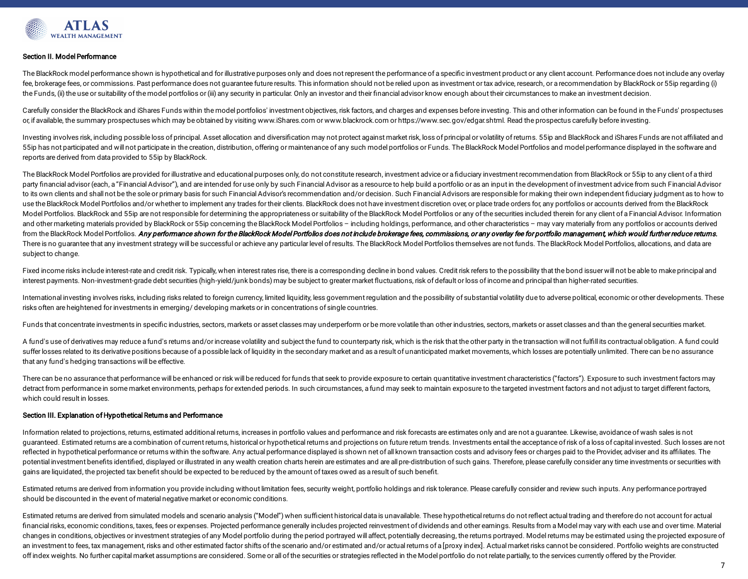

#### Section II. Model Performance

The BlackRock model performance shown is hypothetical and for illustrative purposes only and does not represent the performance of a specific investment product or any client account. Performance does not include any overl fee, brokerage fees, or commissions. Past performance does not guarantee future results. This information should not be relied upon as investment or tax advice, research, or a recommendation by BlackRock or 55ip regarding the Funds, (ii) the use or suitability of the model portfolios or (iii) any security in particular. Only an investor and their financial advisor know enough about their circumstances to make an investment decision.

Carefully consider the BlackRock and iShares Funds within the model portfolios' investment objectives, risk factors, and charges and expenses before investing. This and other information can be found in the Funds' prospect or, if available, the summary prospectuses which may be obtained by visiting www.iShares.com or www.blackrock.com or https://www.sec.gov/edgar.shtml. Read the prospectus carefully before investing.

Investing involves risk, including possible loss of principal. Asset allocation and diversification may not protect against market risk, loss of principal or volatility of returns. 55ip and BlackRock and iShares Funds are 55ip has not participated and will not participate in the creation, distribution, offering or maintenance of any such model portfolios or Funds. The BlackRock Model Portfolios and model performance displayed in the softwar reports are derived from data provided to 55ip by BlackRock.

The BlackRock Model Portfolios are provided for illustrative and educational purposes only, do not constitute research, investment advice or a fiduciary investment recommendation from BlackRock or 55 ip to any client of a party financial advisor (each. a "Financial Advisor"), and are intended for use only by such Financial Advisor as a resource to help build a portfolio or as an input in the development of investment advice from such Financ to its own clients and shall not be the sole or primary basis for such Financial Advisor's recommendation and/or decision. Such Financial Advisors are responsible for making their own independent fiduciary judgment as to h use the BlackRock Model Portfolios and/or whether to implement any trades for their clients. BlackRock does not have investment discretion over, or place trade orders for, any portfolios or accounts derived from the BlackR Model Portfolios. BlackRock and 55ip are not responsible for determining the appropriateness or suitability of the BlackRock Model Portfolios or any of the securities included therein for any client of a Financial Advisor. and other marketing materials provided by BlackRock or 55ip concerning the BlackRock Model Portfolios – including holdings, performance, and other characteristics – may vary materially from any portfolios or accounts derived from the BlackRock Model Portfolios. Any performance shown for the BlackRock Model Portfolios does not include brokerage fees, commissions, or any overlay fee for portfolio management, which would further reduce returns. There is no quarantee that any investment strategy will be successful or achieve any particular level of results. The BlackRock Model Portfolios themselves are not funds. The BlackRock Model Portfolios, allocations, and da subject to change.

Fixed income risks include interest-rate and credit risk. Typically, when interest rates rise, there is a corresponding decline in bond values. Credit risk refers to the possibility that the bond issuer will not be able to interest payments. Non-investment-grade debt securities (high-yield/junk bonds) may be subject to greater market fluctuations, risk of default or loss of income and principal than higher-rated securities.

International investing involves risks, including risks related to foreign currency, limited liquidity, less government requlation and the possibility of substantial volatility due to adverse political, economic or other d risks often are heightened forinvestments in emerging/ developing markets orin concentrations of single countries.

Funds that concentrate investments in specific industries, sectors, markets or asset classes may underperform or be more volatile than other industries, sectors, markets or asset classes and than the general securities mar

A fund's use of derivatives may reduce a fund's returns and/or increase volatility and subject the fund to counterparty risk, which is the risk that the other party in the transaction will not fulfill its contractual oblig suffer losses related to its derivative positions because of a possible lack of liquidity in the secondary market and as a result of unanticipated market movements, which losses are potentially unlimited. There can be no a that any fund's hedging transactions will be effective.

There can be no assurance that performance will be enhanced or risk will be reduced for funds that seek to provide exposure to certain quantitative investment characteristics ("factors"). Exposure to such investment factor detract from performance in some market environments, perhaps for extended periods. In such circumstances, a fund may seek to maintain exposure to the targeted investment factors and not adjust to target different factors, which could result in losses.

## Section III. Explanation of Hypothetical Returns and Performance

Information related to projections, returns, estimated additional returns, increases in portfolio values and performance and risk forecasts are estimates only and are not a quarantee. Likewise, avoidance of wash sales is n quaranteed. Estimated returns are a combination of current returns, historical or hypothetical returns and projections on future return trends. Investments entail the acceptance of risk of a loss of capital invested. Such reflected in hypothetical performance or returns within the software. Any actual performance displayed is shown net of all known transaction costs and advisory fees or charges paid to the Provider, adviser and its affiliat potential investment benefits identified, displayed or illustrated in any wealth creation charts herein are estimates and are all pre-distribution of such gains. Therefore, please carefully consider any time investments or gains are liquidated, the projected tax benefit should be expected to be reduced by the amount oftaxes owed as a result of such benefit.

Estimated returns are derived from information you provide including without limitation fees, security weight, portfolio holdings and risk tolerance. Please carefully consider and review such inputs. Any performance portra should be discounted in the event of material negative market or economic conditions.

Estimated returns are derived from simulated models and scenario analysis ("Model") when sufficient historical data is unavailable. These hypothetical returns do not reflect actual trading and therefore do not account for financial risks, economic conditions, taxes, fees or expenses. Projected performance generally includes projected reinvestment of dividends and other earnings. Results from a Model may vary with each use and over time. Mat changes in conditions, objectives or investment strategies of any Model portfolio during the period portrayed will affect, potentially decreasing, the returns portrayed. Model returns may be estimated using the projected e an investment to fees, tax management, risks and other estimated factor shifts of the scenario and/or estimated and/or actual returns of a [proxy index]. Actual market risks cannot be considered. Portfolio weights are cons offindex weights. No further capital market assumptions are considered. Some or all ofthe securities or strategies reflected in the Model portfolio do not relate partially, to the services currently offered by the Provider.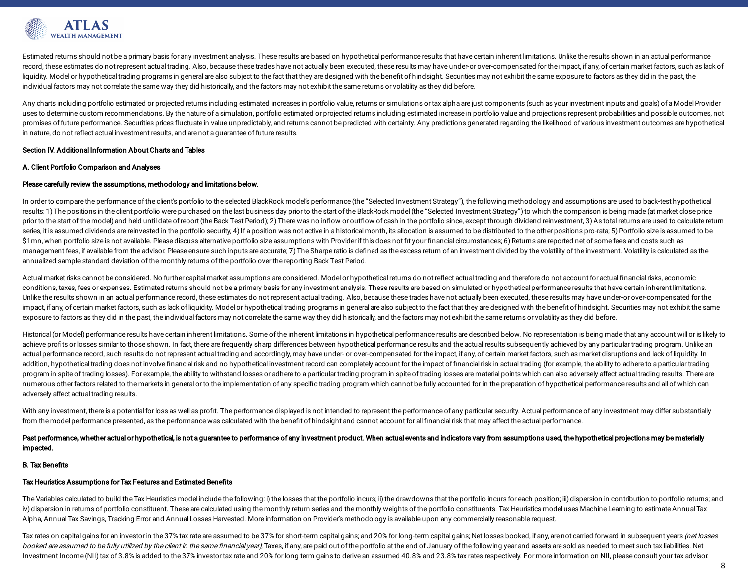

Estimated returns should not be a primary basis for any investment analysis. These results are based on hypothetical performance results that have certain inherent limitations. Unlike the results shown in an actual perform record, these estimates do not represent actual trading. Also, because these trades have not actually been executed, these results may have under-or over-compensated for the impact, if any, of certain market factors, such liquidity. Model or hypothetical trading programs in general are also subject to the fact that they are designed with the benefit of hindsight. Securities may not exhibit the same exposure to factors as they did in the pas individualfactors may not correlate the same way they did historically, and the factors may not exhibit the same returns or volatility as they did before.

Any charts including portfolio estimated or projected returns including estimated increases in portfolio value, returns or simulations or tax alpha are just components (such as your investment inputs and goals) of a Model uses to determine custom recommendations. By the nature of a simulation, portfolio estimated or projected returns including estimated increase in portfolio value and projections represent probabilities and possible outcome promises of future performance. Securities prices fluctuate in value unpredictably, and returns cannot be predicted with certainty. Any predictions generated regarding the likelihood of various investment outcomes are hypo in nature, do not reflect actual investment results, and are not a guarantee offuture results.

#### Section IV. Additional Information About Charts and Tables

#### A. Client Portfolio Comparison and Analyses

#### Please carefully review the assumptions, methodology and limitations below.

In order to compare the performance of the client's portfolio to the selected BlackRock model's performance (the "Selected Investment Strategy"), the following methodology and assumptions are used to back-test hypothetical results: 1) The positions in the client portfolio were purchased on the last business day prior to the start of the BlackRock model (the "Selected Investment Strategy") to which the comparison is being made (at market clos prior to the start of the model) and held until date of report (the Back Test Period); 2) There was no inflow or outflow of cash in the portfolio since, except through dividend reinvestment, 3) As total returns are used to series, it is assumed dividends are reinvested in the portfolio security. 4) If a position was not active in a historical month, its allocation is assumed to be distributed to the other positions pro-rata: 5) Portfolio siz \$1mn, when portfolio size is not available. Please discuss alternative portfolio size assumptions with Provider if this does not fit your financial circumstances; 6) Returns are reported net of some fees and costs such as management fees, if available from the advisor. Please ensure such inputs are accurate: 7) The Sharpe ratio is defined as the excess return of an investment divided by the volatility of the investment. Volatility is calcul annualized sample standard deviation ofthe monthly returns ofthe portfolio overthe reporting Back Test Period.

Actual market risks cannot be considered. No further capital market assumptions are considered. Model or hypothetical returns do not reflect actual trading and therefore do not account for actual financial risks, economic conditions, taxes, fees or expenses. Estimated returns should not be a primary basis for any investment analysis. These results are based on simulated or hypothetical performance results that have certain inherent limitati Unlike the results shown in an actual performance record, these estimates do not represent actual trading. Also, because these trades have not actually been executed, these results may have under-or over-compensated for th impact, if any, of certain market factors, such as lack of liquidity. Model or hypothetical trading programs in general are also subject to the fact that they are designed with the benefit of hindsight. Securities may not exposure to factors as they did in the past, the individual factors may not correlate the same way they did historically, and the factors may not exhibit the same returns or volatility as they did before.

Historical (or Model) performance results have certain inherent limitations. Some of the inherent limitations in hypothetical performance results are described below. No representation is being made that any account will o achieve profits or losses similar to those shown. In fact, there are frequently sharp differences between hypothetical performance results and the actual results subsequently achieved by any particular trading program. Unl actual performance record, such results do not represent actual trading and accordingly, may have under- or over-compensated for the impact, if any, of certain market factors, such as market disruptions and lack of liquidi addition, hypothetical trading does not involve financial risk and no hypothetical investment record can completely account for the impact of financial risk in actual trading (for example, the ability to adhere to a partic program in spite of trading losses). For example, the ability to withstand losses or adhere to a particular trading program in spite of trading losses are material points which can also adversely affect actual trading resu numerous other factors related to the markets in general or to the implementation of any specific trading program which cannot be fully accounted for in the preparation of hypothetical performance results and all of which adversely affect actual trading results.

With any investment, there is a potential for loss as well as profit. The performance displayed is not intended to represent the performance of any particular security. Actual performance of any investment may differ subst from the model performance presented, as the performance was calculated with the benefit of hindsight and cannot account for all financialrisk that may affect the actual performance.

Past performance, whether actual or hypothetical, is not a guarantee to performance of any investment product. When actual events and indicators vary from assumptions used, the hypothetical projections may be materially impacted.

#### B. Tax Benefits

## Tax Heuristics Assumptions for Tax Features and Estimated Benefits

The Variables calculated to build the Tax Heuristics model include the following: i) the losses that the portfolio incurs: ii) the drawdowns that the portfolio incurs for each position: iii) dispersion in contribution to p iv) dispersion in returns of portfolio constituent. These are calculated using the monthly return series and the monthly weights of the portfolio constituents. Tax Heuristics model uses Machine Learning to estimate Annual Alpha, Annual Tax Savings, Tracking Error and Annual Losses Harvested. More information on Provider's methodology is available upon any commercially reasonable request.

Tax rates on capital gains for an investor in the 37% tax rate are assumed to be 37% for short-term capital gains; and 20% for long-term capital gains; Net losses booked, if any, are not carried forward in subsequent years booked are assumed to be fully utilized by the client in the same financial year). Taxes, if any, are paid out of the portfolio at the end of January of the following year and assets are sold as needed to meet such tax lia Investment Income (NII) tax of 3.8% is added to the 37% investor tax rate and 20% for long term gains to derive an assumed 40.8% and 23.8% tax rates respectively. For more information on NII, please consult your tax adviso